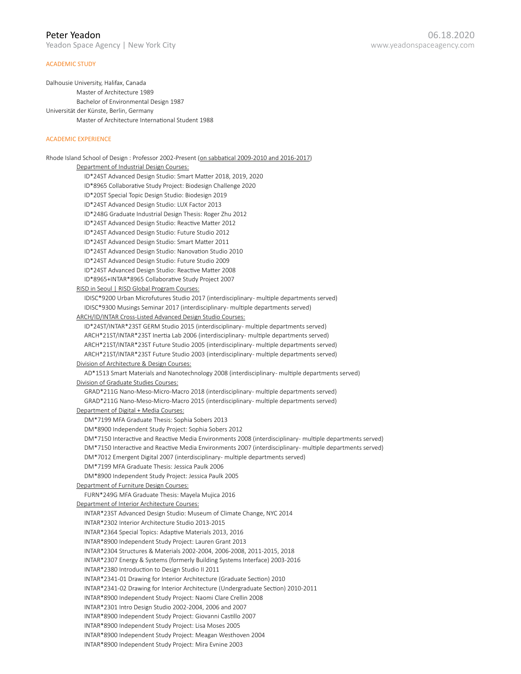# Peter Yeadon

Yeadon Space Agency | New York City

# ACADEMIC STUDY

Dalhousie University, Halifax, Canada Master of Architecture 1989 Bachelor of Environmental Design 1987 Universität der Künste, Berlin, Germany Master of Architecture International Student 1988

# ACADEMIC EXPERIENCE

Rhode Island School of Design : Professor 2002-Present (on sabbatical 2009-2010 and 2016-2017) Department of Industrial Design Courses: ID\*24ST Advanced Design Studio: Smart Matter 2018, 2019, 2020 ID\*8965 Collaborative Study Project: Biodesign Challenge 2020 ID\*20ST Special Topic Design Studio: Biodesign 2019 ID\*24ST Advanced Design Studio: LUX Factor 2013 ID\*248G Graduate Industrial Design Thesis: Roger Zhu 2012 ID\*24ST Advanced Design Studio: Reactive Matter 2012 ID\*24ST Advanced Design Studio: Future Studio 2012 ID\*24ST Advanced Design Studio: Smart Matter 2011 ID\*24ST Advanced Design Studio: Nanovation Studio 2010 ID\*24ST Advanced Design Studio: Future Studio 2009 ID\*24ST Advanced Design Studio: Reactive Matter 2008 ID\*8965+INTAR\*8965 Collaborative Study Project 2007 RISD in Seoul | RISD Global Program Courses: IDISC\*9200 Urban Microfutures Studio 2017 (interdisciplinary- multiple departments served) IDISC\*9300 Musings Seminar 2017 (interdisciplinary- multiple departments served) ARCH/ID/INTAR Cross-Listed Advanced Design Studio Courses: ID\*24ST/INTAR\*23ST GERM Studio 2015 (interdisciplinary- multiple departments served) ARCH\*21ST/INTAR\*23ST Inertia Lab 2006 (interdisciplinary- multiple departments served) ARCH\*21ST/INTAR\*23ST Future Studio 2005 (interdisciplinary- multiple departments served) ARCH\*21ST/INTAR\*23ST Future Studio 2003 (interdisciplinary- multiple departments served) Division of Architecture & Design Courses: AD\*1513 Smart Materials and Nanotechnology 2008 (interdisciplinary- multiple departments served) Division of Graduate Studies Courses: GRAD\*211G Nano-Meso-Micro-Macro 2018 (interdisciplinary- multiple departments served) GRAD\*211G Nano-Meso-Micro-Macro 2015 (interdisciplinary- multiple departments served) Department of Digital + Media Courses: DM\*7199 MFA Graduate Thesis: Sophia Sobers 2013 DM\*8900 Independent Study Project: Sophia Sobers 2012 DM\*7150 Interactive and Reactive Media Environments 2008 (interdisciplinary- multiple departments served) DM\*7150 Interactive and Reactive Media Environments 2007 (interdisciplinary- multiple departments served) DM\*7012 Emergent Digital 2007 (interdisciplinary- multiple departments served) DM\*7199 MFA Graduate Thesis: Jessica Paulk 2006 DM\*8900 Independent Study Project: Jessica Paulk 2005 Department of Furniture Design Courses: FURN\*249G MFA Graduate Thesis: Mayela Mujica 2016 Department of Interior Architecture Courses: INTAR\*23ST Advanced Design Studio: Museum of Climate Change, NYC 2014 INTAR\*2302 Interior Architecture Studio 2013-2015 INTAR\*2364 Special Topics: Adaptive Materials 2013, 2016 INTAR\*8900 Independent Study Project: Lauren Grant 2013 INTAR\*2304 Structures & Materials 2002-2004, 2006-2008, 2011-2015, 2018 INTAR\*2307 Energy & Systems (formerly Building Systems Interface) 2003-2016 INTAR\*2380 Introduction to Design Studio II 2011 INTAR\*2341-01 Drawing for Interior Architecture (Graduate Section) 2010 INTAR\*2341-02 Drawing for Interior Architecture (Undergraduate Section) 2010-2011 INTAR\*8900 Independent Study Project: Naomi Clare Crellin 2008 INTAR\*2301 Intro Design Studio 2002-2004, 2006 and 2007 INTAR\*8900 Independent Study Project: Giovanni Castillo 2007 INTAR\*8900 Independent Study Project: Lisa Moses 2005 INTAR\*8900 Independent Study Project: Meagan Westhoven 2004 INTAR\*8900 Independent Study Project: Mira Evnine 2003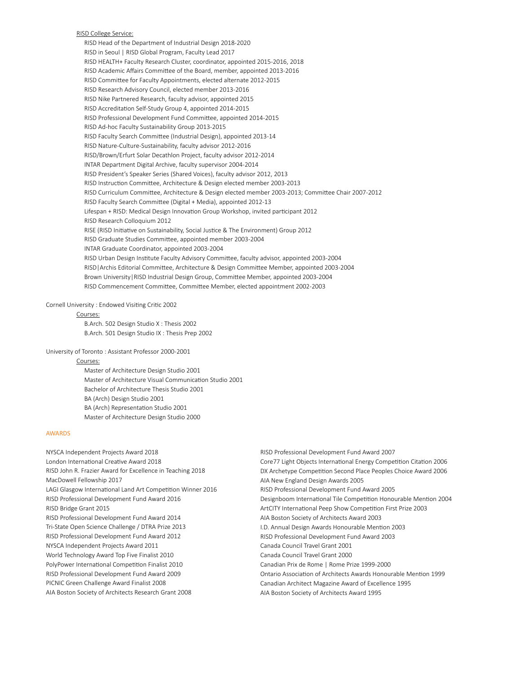## RISD College Service:

RISD Head of the Department of Industrial Design 2018-2020 RISD in Seoul | RISD Global Program, Faculty Lead 2017 RISD HEALTH+ Faculty Research Cluster, coordinator, appointed 2015-2016, 2018 RISD Academic Affairs Committee of the Board, member, appointed 2013-2016 RISD Committee for Faculty Appointments, elected alternate 2012-2015 RISD Research Advisory Council, elected member 2013-2016 RISD Nike Partnered Research, faculty advisor, appointed 2015 RISD Accreditation Self-Study Group 4, appointed 2014-2015 RISD Professional Development Fund Committee, appointed 2014-2015 RISD Ad-hoc Faculty Sustainability Group 2013-2015 RISD Faculty Search Committee (Industrial Design), appointed 2013-14 RISD Nature-Culture-Sustainability, faculty advisor 2012-2016 RISD/Brown/Erfurt Solar Decathlon Project, faculty advisor 2012-2014 INTAR Department Digital Archive, faculty supervisor 2004-2014 RISD President's Speaker Series (Shared Voices), faculty advisor 2012, 2013 RISD Instruction Committee, Architecture & Design elected member 2003-2013 RISD Curriculum Committee, Architecture & Design elected member 2003-2013; Committee Chair 2007-2012 RISD Faculty Search Committee (Digital + Media), appointed 2012-13 Lifespan + RISD: Medical Design Innovation Group Workshop, invited participant 2012 RISD Research Colloquium 2012 RISE (RISD Initiative on Sustainability, Social Justice & The Environment) Group 2012 RISD Graduate Studies Committee, appointed member 2003-2004 INTAR Graduate Coordinator, appointed 2003-2004 RISD Urban Design Institute Faculty Advisory Committee, faculty advisor, appointed 2003-2004 RISD|Archis Editorial Committee, Architecture & Design Committee Member, appointed 2003-2004 Brown University|RISD Industrial Design Group, Committee Member, appointed 2003-2004 RISD Commencement Committee, Committee Member, elected appointment 2002-2003

### Cornell University : Endowed Visiting Critic 2002

### Courses:

B.Arch. 502 Design Studio X : Thesis 2002 B.Arch. 501 Design Studio IX : Thesis Prep 2002

#### University of Toronto : Assistant Professor 2000-2001

Courses:

Master of Architecture Design Studio 2001 Master of Architecture Visual Communication Studio 2001 Bachelor of Architecture Thesis Studio 2001 BA (Arch) Design Studio 2001 BA (Arch) Representation Studio 2001 Master of Architecture Design Studio 2000

## AWARDS

- NYSCA Independent Projects Award 2018 London International Creative Award 2018 RISD John R. Frazier Award for Excellence in Teaching 2018 MacDowell Fellowship 2017 LAGI Glasgow International Land Art Competition Winner 2016 RISD Professional Development Fund Award 2016 RISD Bridge Grant 2015 RISD Professional Development Fund Award 2014 Tri-State Open Science Challenge / DTRA Prize 2013 RISD Professional Development Fund Award 2012 NYSCA Independent Projects Award 2011 World Technology Award Top Five Finalist 2010 PolyPower International Competition Finalist 2010 RISD Professional Development Fund Award 2009 PICNIC Green Challenge Award Finalist 2008 AIA Boston Society of Architects Research Grant 2008
- RISD Professional Development Fund Award 2007 Core77 Light Objects International Energy Competition Citation 2006 DX Archetype Competition Second Place Peoples Choice Award 2006 AIA New England Design Awards 2005 RISD Professional Development Fund Award 2005 Designboom International Tile Competition Honourable Mention 2004 ArtCITY International Peep Show Competition First Prize 2003 AIA Boston Society of Architects Award 2003 I.D. Annual Design Awards Honourable Mention 2003 RISD Professional Development Fund Award 2003 Canada Council Travel Grant 2001 Canada Council Travel Grant 2000 Canadian Prix de Rome | Rome Prize 1999-2000 Ontario Association of Architects Awards Honourable Mention 1999 Canadian Architect Magazine Award of Excellence 1995
- AIA Boston Society of Architects Award 1995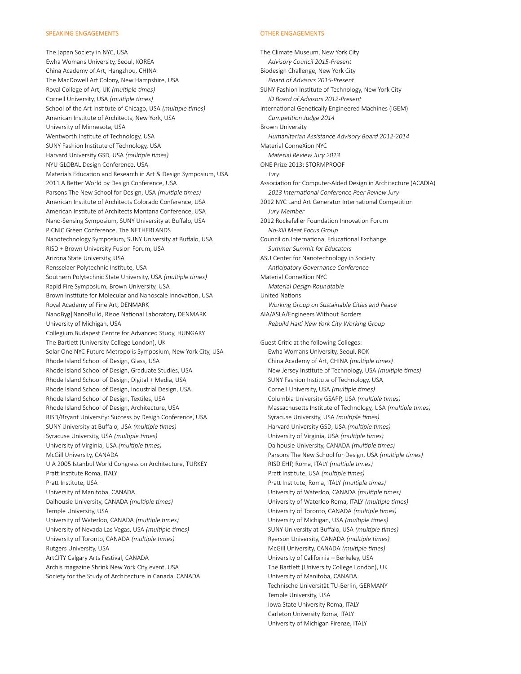# SPEAKING ENGAGEMENTS

The Japan Society in NYC, USA Ewha Womans University, Seoul, KOREA China Academy of Art, Hangzhou, CHINA The MacDowell Art Colony, New Hampshire, USA Royal College of Art, UK (multiple times) Cornell University, USA (multiple times) School of the Art Institute of Chicago, USA (multiple times) American Institute of Architects, New York, USA University of Minnesota, USA Wentworth Institute of Technology, USA SUNY Fashion Institute of Technology, USA Harvard University GSD, USA (multiple times) NYU GLOBAL Design Conference, USA Materials Education and Research in Art & Design Symposium, USA 2011 A Better World by Design Conference, USA Parsons The New School for Design, USA (multiple times) American Institute of Architects Colorado Conference, USA American Institute of Architects Montana Conference, USA Nano-Sensing Symposium, SUNY University at Buffalo, USA PICNIC Green Conference, The NETHERLANDS Nanotechnology Symposium, SUNY University at Buffalo, USA RISD + Brown University Fusion Forum, USA Arizona State University, USA Rensselaer Polytechnic Institute, USA Southern Polytechnic State University, USA (multiple times) Rapid Fire Symposium, Brown University, USA Brown Institute for Molecular and Nanoscale Innovation, USA Royal Academy of Fine Art, DENMARK NanoByg|NanoBuild, Risoe National Laboratory, DENMARK University of Michigan, USA Collegium Budapest Centre for Advanced Study, HUNGARY The Bartlett (University College London), UK Solar One NYC Future Metropolis Symposium, New York City, USA Rhode Island School of Design, Glass, USA Rhode Island School of Design, Graduate Studies, USA Rhode Island School of Design, Digital + Media, USA Rhode Island School of Design, Industrial Design, USA Rhode Island School of Design, Textiles, USA Rhode Island School of Design, Architecture, USA RISD/Bryant University: Success by Design Conference, USA SUNY University at Buffalo, USA (multiple times) Syracuse University, USA (multiple times) University of Virginia, USA (multiple times) McGill University, CANADA UIA 2005 Istanbul World Congress on Architecture, TURKEY Pratt Institute Roma, ITALY Pratt Institute, USA University of Manitoba, CANADA Dalhousie University, CANADA (multiple times) Temple University, USA University of Waterloo, CANADA (multiple times) University of Nevada Las Vegas, USA (multiple times) University of Toronto, CANADA (multiple times) Rutgers University, USA ArtCITY Calgary Arts Festival, CANADA Archis magazine Shrink New York City event, USA Society for the Study of Architecture in Canada, CANADA

# OTHER ENGAGEMENTS

The Climate Museum, New York City

Advisory Council 2015-Present Biodesign Challenge, New York City Board of Advisors 2015-Present SUNY Fashion Institute of Technology, New York City ID Board of Advisors 2012-Present International Genetically Engineered Machines (iGEM) Competition Judge 2014 Brown University Humanitarian Assistance Advisory Board 2012-2014 Material ConneXion NYC Material Review Jury 2013 ONE Prize 2013: STORMPROOF Jury Association for Computer-Aided Design in Architecture (ACADIA) 2013 International Conference Peer Review Jury 2012 NYC Land Art Generator International Competition Jury Member 2012 Rockefeller Foundation Innovation Forum No-Kill Meat Focus Group Council on International Educational Exchange Summer Summit for Educators ASU Center for Nanotechnology in Society Anticipatory Governance Conference Material ConneXion NYC Material Design Roundtable United Nations Working Group on Sustainable Cities and Peace AIA/ASLA/Engineers Without Borders Rebuild Haiti New York City Working Group Guest Critic at the following Colleges: Ewha Womans University, Seoul, ROK

China Academy of Art, CHINA (multiple times) New Jersey Institute of Technology, USA (multiple times) SUNY Fashion Institute of Technology, USA Cornell University, USA (multiple times) Columbia University GSAPP, USA (multiple times) Massachusetts Institute of Technology, USA (multiple times) Syracuse University, USA (multiple times) Harvard University GSD, USA (multiple times) University of Virginia, USA (multiple times) Dalhousie University, CANADA (multiple times) Parsons The New School for Design, USA (multiple times) RISD EHP, Roma, ITALY (multiple times) Pratt Institute, USA (multiple times) Pratt Institute, Roma, ITALY (multiple times) University of Waterloo, CANADA (multiple times) University of Waterloo Roma, ITALY (multiple times) University of Toronto, CANADA (multiple times) University of Michigan, USA (multiple times) SUNY University at Buffalo, USA (multiple times) Ryerson University, CANADA (multiple times) McGill University, CANADA (multiple times) University of California – Berkeley, USA The Bartlett (University College London), UK University of Manitoba, CANADA Technische Universität TU-Berlin, GERMANY Temple University, USA Iowa State University Roma, ITALY Carleton University Roma, ITALY University of Michigan Firenze, ITALY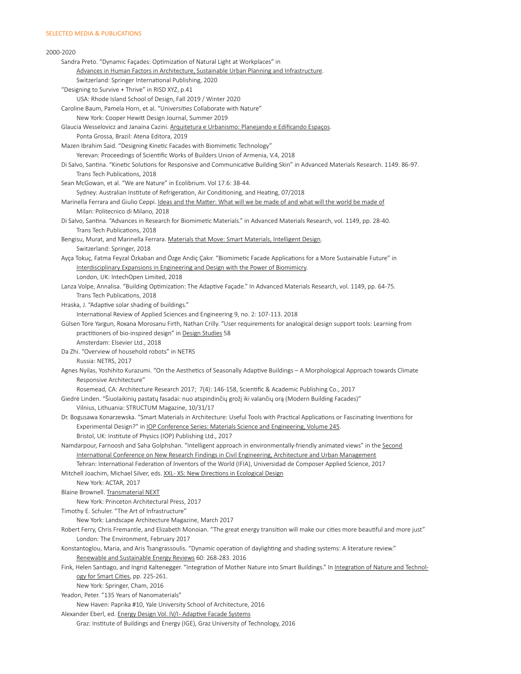# 2000-2020 Sandra Preto. "Dynamic Façades: Optimization of Natural Light at Workplaces" in Advances in Human Factors in Architecture, Sustainable Urban Planning and Infrastructure. Switzerland: Springer International Publishing, 2020 "Designing to Survive + Thrive" in RISD XYZ, p.41 USA: Rhode Island School of Design, Fall 2019 / Winter 2020 Caroline Baum, Pamela Horn, et al. "Universities Collaborate with Nature" New York: Cooper Hewitt Design Journal, Summer 2019 Glaucia Wesselovicz and Janaina Cazini. Arquitetura e Urbanismo: Planejando e Edificando Espaços. Ponta Grossa, Brazil: Atena Editora, 2019 Mazen Ibrahim Said. "Designing Kinetic Facades with Biomimetic Technology" Yerevan: Proceedings of Scientific Works of Builders Union of Armenia, V.4, 2018 Di Salvo, Santina. "Kinetic Solutions for Responsive and Communicative Building Skin" in Advanced Materials Research. 1149. 86-97. Trans Tech Publications, 2018 Sean McGowan, et al. "We are Nature" in Ecolibrium. Vol 17.6: 38-44. Sydney: Australian Institute of Refrigeration, Air Conditioning, and Heating, 07/2018 Marinella Ferrara and Giulio Ceppi. Ideas and the Matter: What will we be made of and what will the world be made of Milan: Politecnico di Milano, 2018 Di Salvo, Santina. "Advances in Research for Biomimetic Materials." in Advanced Materials Research, vol. 1149, pp. 28-40. Trans Tech Publications, 2018 Bengisu, Murat, and Marinella Ferrara. Materials that Move: Smart Materials, Intelligent Design. Switzerland: Springer, 2018 Ayça Tokuç, Fatma Feyzal Özkaban and Özge Andiç Çakır. "Biomimetic Facade Applications for a More Sustainable Future" in Interdisciplinary Expansions in Engineering and Design with the Power of Biomimicry. London, UK: IntechOpen Limited, 2018 Lanza Volpe, Annalisa. "Building Optimization: The Adaptive Façade." In Advanced Materials Research, vol. 1149, pp. 64-75. Trans Tech Publications, 2018 Hraska, J. "Adaptive solar shading of buildings." International Review of Applied Sciences and Engineering 9, no. 2: 107-113. 2018 Gülsen Töre Yargun, Roxana Morosanu Firth, Nathan Crilly. "User requirements for analogical design support tools: Learning from practitioners of bio-inspired design" in Design Studies 58 Amsterdam: Elsevier Ltd., 2018 Da Zhi. "Overview of household robots" in NETRS Russia: NETRS, 2017 Agnes Nyilas, Yoshihito Kurazumi. "On the Aesthetics of Seasonally Adaptive Buildings – A Morphological Approach towards Climate Responsive Architecture" Rosemead, CA: Architecture Research 2017; 7(4): 146-158, Scientific & Academic Publishing Co., 2017 Giedrė Linden. "Šiuolaikinių pastatų fasadai: nuo atspindinčių grožį iki valančių orą (Modern Building Facades)" Vilnius, Lithuania: STRUCTUM Magazine, 10/31/17 Dr. Bogusawa Konarzewska. "Smart Materials in Architecture: Useful Tools with Practical Applications or Fascinating Inventions for Experimental Design?" in IOP Conference Series: Materials Science and Engineering, Volume 245. Bristol, UK: Institute of Physics (IOP) Publishing Ltd., 2017 Namdarpour, Farnoosh and Saha Golphshan. "Intelligent approach in environmentally-friendly animated views" in the Second International Conference on New Research Findings in Civil Engineering, Architecture and Urban Management Tehran: International Federation of Inventors of the World (IFIA), Universidad de Composer Applied Science, 2017 Mitchell Joachim, Michael Silver, eds. XXL- XS: New Directions in Ecological Design New York: ACTAR, 2017 Blaine Brownell. Transmaterial NEXT New York: Princeton Architectural Press, 2017 Timothy E. Schuler. "The Art of Infrastructure" New York: Landscape Architecture Magazine, March 2017 Robert Ferry, Chris Fremantle, and Elizabeth Monoian. "The great energy transition will make our cities more beautiful and more just" London: The Environment, February 2017 Konstantoglou, Maria, and Aris Tsangrassoulis. "Dynamic operation of daylighting and shading systems: A literature review." Renewable and Sustainable Energy Reviews 60: 268-283. 2016 Fink, Helen Santiago, and Ingrid Kaltenegger. "Integration of Mother Nature into Smart Buildings." In Integration of Nature and Technology for Smart Cities, pp. 225-261. New York: Springer, Cham, 2016 Yeadon, Peter. "135 Years of Nanomaterials" New Haven: Paprika #10, Yale University School of Architecture, 2016 Alexander Eberl, ed. Energy Design Vol. IV/I- Adaptive Facade Systems

 Graz: Institute of Buildings and Energy (IGE), Graz University of Technology, 2016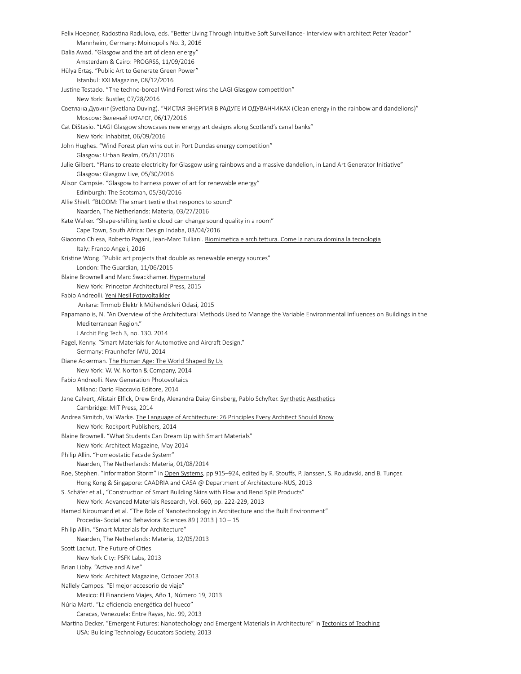Felix Hoepner, Radostina Radulova, eds. "Better Living Through Intuitive Soft Surveillance- Interview with architect Peter Yeadon" Mannheim, Germany: Moinopolis No. 3, 2016 Dalia Awad. "Glasgow and the art of clean energy" Amsterdam & Cairo: PROGRSS, 11/09/2016 Hülya Ertaş. "Public Art to Generate Green Power" Istanbul: XXI Magazine, 08/12/2016 Justine Testado. "The techno-boreal Wind Forest wins the LAGI Glasgow competition" New York: Bustler, 07/28/2016 Светлана Дувинг (Svetlana Duving). "ЧИСТАЯ ЭНЕРГИЯ В РАДУГЕ И ОДУВАНЧИКАХ (Clean energy in the rainbow and dandelions)" Moscow: Зеленый КАТАЛОГ, 06/17/2016 Cat DiStasio. "LAGI Glasgow showcases new energy art designs along Scotland's canal banks" New York: Inhabitat, 06/09/2016 John Hughes. "Wind Forest plan wins out in Port Dundas energy competition" Glasgow: Urban Realm, 05/31/2016 Julie Gilbert. "Plans to create electricity for Glasgow using rainbows and a massive dandelion, in Land Art Generator Initiative" Glasgow: Glasgow Live, 05/30/2016 Alison Campsie. "Glasgow to harness power of art for renewable energy" Edinburgh: The Scotsman, 05/30/2016 Allie Shiell. "BLOOM: The smart textile that responds to sound" Naarden, The Netherlands: Materia, 03/27/2016 Kate Walker. "Shape-shifting textile cloud can change sound quality in a room" Cape Town, South Africa: Design Indaba, 03/04/2016 Giacomo Chiesa, Roberto Pagani, Jean-Marc Tulliani. Biomimetica e architettura. Come la natura domina la tecnologia Italy: Franco Angeli, 2016 Kristine Wong. "Public art projects that double as renewable energy sources" London: The Guardian, 11/06/2015 Blaine Brownell and Marc Swackhamer. Hypernatural New York: Princeton Architectural Press, 2015 Fabio Andreolli. Yeni Nesil Fotovoltaikler Ankara: Tmmob Elektrik Mühendisleri Odasi, 2015 Papamanolis, N. "An Overview of the Architectural Methods Used to Manage the Variable Environmental Influences on Buildings in the Mediterranean Region." J Archit Eng Tech 3, no. 130. 2014 Pagel, Kenny. "Smart Materials for Automotive and Aircraft Design." Germany: Fraunhofer IWU, 2014 Diane Ackerman. The Human Age: The World Shaped By Us New York: W. W. Norton & Company, 2014 Fabio Andreolli. New Generation Photovoltaics Milano: Dario Flaccovio Editore, 2014 Jane Calvert, Alistair Elfick, Drew Endy, Alexandra Daisy Ginsberg, Pablo Schyfter. Synthetic Aesthetics Cambridge: MIT Press, 2014 Andrea Simitch, Val Warke. The Language of Architecture: 26 Principles Every Architect Should Know New York: Rockport Publishers, 2014 Blaine Brownell. "What Students Can Dream Up with Smart Materials" New York: Architect Magazine, May 2014 Philip Allin. "Homeostatic Facade System" Naarden, The Netherlands: Materia, 01/08/2014 Roe, Stephen. "Information Storm" in Open Systems, pp 915-924, edited by R. Stouffs, P. Janssen, S. Roudavski, and B. Tunçer. Hong Kong & Singapore: CAADRIA and CASA @ Department of Architecture-NUS, 2013 S. Schäfer et al., "Construction of Smart Building Skins with Flow and Bend Split Products" New York: Advanced Materials Research, Vol. 660, pp. 222-229, 2013 Hamed Niroumand et al. "The Role of Nanotechnology in Architecture and the Built Environment" Procedia- Social and Behavioral Sciences 89 ( 2013 ) 10 – 15 Philip Allin. "Smart Materials for Architecture" Naarden, The Netherlands: Materia, 12/05/2013 Scott Lachut. The Future of Cities New York City: PSFK Labs, 2013 Brian Libby. "Active and Alive" New York: Architect Magazine, October 2013 Nallely Campos. "El mejor accesorio de viaje" Mexico: El Financiero Viajes, Año 1, Número 19, 2013 Núria Marti. "La eficiencia energética del hueco" Caracas, Venezuela: Entre Rayas, No. 99, 2013 Martina Decker. "Emergent Futures: Nanotechology and Emergent Materials in Architecture" in Tectonics of Teaching USA: Building Technology Educators Society, 2013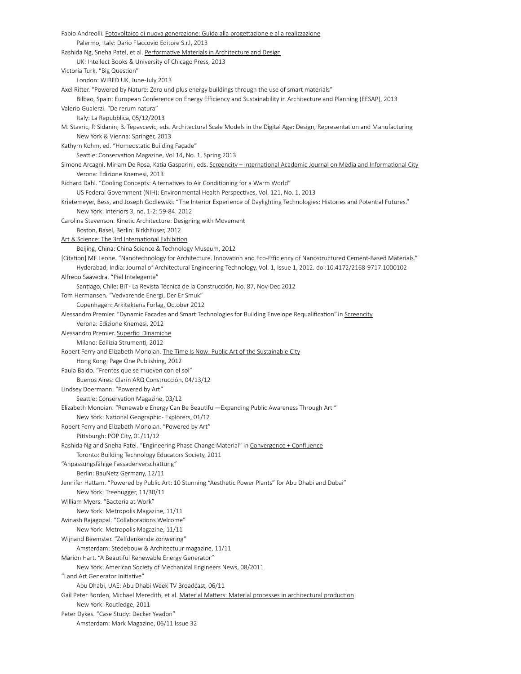Fabio Andreolli. Fotovoltaico di nuova generazione: Guida alla progettazione e alla realizzazione Palermo, Italy: Dario Flaccovio Editore S.r.l, 2013 Rashida Ng, Sneha Patel, et al. Performative Materials in Architecture and Design UK: Intellect Books & University of Chicago Press, 2013 Victoria Turk. "Big Question" London: WIRED UK, June-July 2013 Axel Ritter. "Powered by Nature: Zero und plus energy buildings through the use of smart materials" Bilbao, Spain: European Conference on Energy Efficiency and Sustainability in Architecture and Planning (EESAP), 2013 Valerio Gualerzi. "De rerum natura" Italy: La Repubblica, 05/12/2013 M. Stavric, P. Sidanin, B. Tepavcevic, eds. Architectural Scale Models in the Digital Age: Design, Representation and Manufacturing New York & Vienna: Springer, 2013 Kathyrn Kohm, ed. "Homeostatic Building Façade" Seattle: Conservation Magazine, Vol.14, No. 1, Spring 2013 Simone Arcagni, Miriam De Rosa, Katia Gasparini, eds. Screencity - International Academic Journal on Media and Informational City Verona: Edizione Knemesi, 2013 Richard Dahl. "Cooling Concepts: Alternatives to Air Conditioning for a Warm World" US Federal Government (NIH): Environmental Health Perspectives, Vol. 121, No. 1, 2013 Krietemeyer, Bess, and Joseph Godlewski. "The Interior Experience of Daylighting Technologies: Histories and Potential Futures." New York: Interiors 3, no. 1-2: 59-84. 2012 Carolina Stevenson. Kinetic Architecture: Designing with Movement Boston, Basel, Berlin: Birkhäuser, 2012 Art & Science: The 3rd International Exhibition Beijing, China: China Science & Technology Museum, 2012 [Citation] MF Leone. "Nanotechnology for Architecture. Innovation and Eco-Efficiency of Nanostructured Cement-Based Materials." Hyderabad, India: Journal of Architectural Engineering Technology, Vol. 1, Issue 1, 2012. doi:10.4172/2168-9717.1000102 Alfredo Saavedra. "Piel Intelegente" Santiago, Chile: BiT- La Revista Técnica de la Construcción, No. 87, Nov-Dec 2012 Tom Hermansen. "Vedvarende Energi, Der Er Smuk" Copenhagen: Arkitektens Forlag, October 2012 Alessandro Premier. "Dynamic Facades and Smart Technologies for Building Envelope Requalification".in Screencity Verona: Edizione Knemesi, 2012 Alessandro Premier. Superfici Dinamiche Milano: Edilizia Strumenti, 2012 Robert Ferry and Elizabeth Monoian. The Time Is Now: Public Art of the Sustainable City Hong Kong: Page One Publishing, 2012 Paula Baldo. "Frentes que se mueven con el sol" Buenos Aires: Clarín ARQ Construcción, 04/13/12 Lindsey Doermann. "Powered by Art" Seattle: Conservation Magazine, 03/12 Elizabeth Monoian. "Renewable Energy Can Be Beautiful—Expanding Public Awareness Through Art " New York: National Geographic- Explorers, 01/12 Robert Ferry and Elizabeth Monoian. "Powered by Art" Pittsburgh: POP City, 01/11/12 Rashida Ng and Sneha Patel. "Engineering Phase Change Material" in Convergence + Confluence Toronto: Building Technology Educators Society, 2011 "Anpassungsfähige Fassadenverschattung" Berlin: BauNetz Germany, 12/11 Jennifer Hattam. "Powered by Public Art: 10 Stunning "Aesthetic Power Plants" for Abu Dhabi and Dubai" New York: Treehugger, 11/30/11 William Myers. "Bacteria at Work" New York: Metropolis Magazine, 11/11 Avinash Rajagopal. "Collaborations Welcome" New York: Metropolis Magazine, 11/11 Wijnand Beemster. "Zelfdenkende zonwering" Amsterdam: Stedebouw & Architectuur magazine, 11/11 Marion Hart. "A Beautiful Renewable Energy Generator" New York: American Society of Mechanical Engineers News, 08/2011 "Land Art Generator Initiative" Abu Dhabi, UAE: Abu Dhabi Week TV Broadcast, 06/11 Gail Peter Borden, Michael Meredith, et al. Material Matters: Material processes in architectural production New York: Routledge, 2011 Peter Dykes. "Case Study: Decker Yeadon" Amsterdam: Mark Magazine, 06/11 Issue 32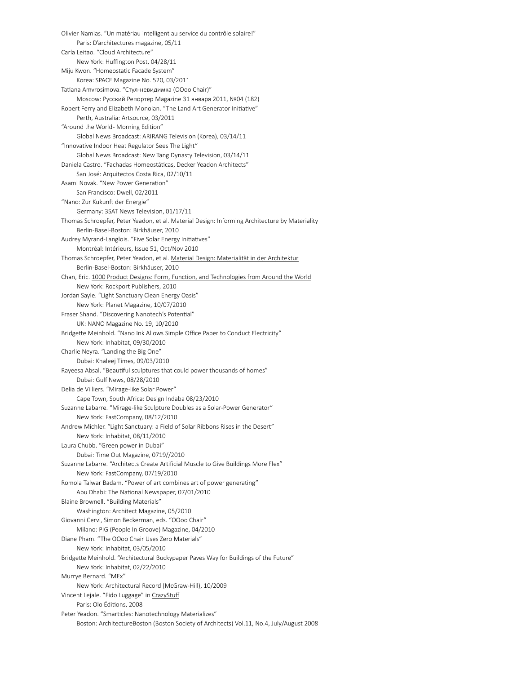Olivier Namias. "Un matériau intelligent au service du contrôle solaire!" Paris: D'architectures magazine, 05/11 Carla Leitao. "Cloud Architecture" New York: Huffington Post, 04/28/11 Miju Kwon. "Homeostatic Facade System" Korea: SPACE Magazine No. 520, 03/2011 Tatiana Amvrosimova. "Стул-невидимка (OOoo Chair)" Moscow: Русский Репортер Magazine 31 января 2011, №04 (182) Robert Ferry and Elizabeth Monoian. "The Land Art Generator Initiative" Perth, Australia: Artsource, 03/2011 "Around the World- Morning Edition" Global News Broadcast: ARIRANG Television (Korea), 03/14/11 "Innovative Indoor Heat Regulator Sees The Light" Global News Broadcast: New Tang Dynasty Television, 03/14/11 Daniela Castro. "Fachadas Homeostáticas, Decker Yeadon Architects" San José: Arquitectos Costa Rica, 02/10/11 Asami Novak. "New Power Generation" San Francisco: Dwell, 02/2011 "Nano: Zur Kukunft der Energie" Germany: 3SAT News Television, 01/17/11 Thomas Schroepfer, Peter Yeadon, et al. Material Design: Informing Architecture by Materiality Berlin-Basel-Boston: Birkhäuser, 2010 Audrey Myrand-Langlois. "Five Solar Energy Initiatives" Montréal: Intérieurs, Issue 51, Oct/Nov 2010 Thomas Schroepfer, Peter Yeadon, et al. Material Design: Materialität in der Architektur Berlin-Basel-Boston: Birkhäuser, 2010 Chan, Eric. 1000 Product Designs: Form, Function, and Technologies from Around the World New York: Rockport Publishers, 2010 Jordan Sayle. "Light Sanctuary Clean Energy Oasis" New York: Planet Magazine, 10/07/2010 Fraser Shand. "Discovering Nanotech's Potential" UK: NANO Magazine No. 19, 10/2010 Bridgette Meinhold. "Nano Ink Allows Simple Office Paper to Conduct Electricity" New York: Inhabitat, 09/30/2010 Charlie Neyra. "Landing the Big One" Dubai: Khaleej Times, 09/03/2010 Rayeesa Absal. "Beautiful sculptures that could power thousands of homes" Dubai: Gulf News, 08/28/2010 Delia de Villiers. "Mirage-like Solar Power" Cape Town, South Africa: Design Indaba 08/23/2010 Suzanne Labarre. "Mirage-like Sculpture Doubles as a Solar-Power Generator" New York: FastCompany, 08/12/2010 Andrew Michler. "Light Sanctuary: a Field of Solar Ribbons Rises in the Desert" New York: Inhabitat, 08/11/2010 Laura Chubb. "Green power in Dubai" Dubai: Time Out Magazine, 0719//2010 Suzanne Labarre. "Architects Create Artificial Muscle to Give Buildings More Flex" New York: FastCompany, 07/19/2010 Romola Talwar Badam. "Power of art combines art of power generating" Abu Dhabi: The National Newspaper, 07/01/2010 Blaine Brownell. "Building Materials" Washington: Architect Magazine, 05/2010 Giovanni Cervi, Simon Beckerman, eds. "OOoo Chair" Milano: PIG (People In Groove) Magazine, 04/2010 Diane Pham. "The OOoo Chair Uses Zero Materials" New York: Inhabitat, 03/05/2010 Bridgette Meinhold. "Architectural Buckypaper Paves Way for Buildings of the Future" New York: Inhabitat, 02/22/2010 Murrye Bernard. "MEx" New York: Architectural Record (McGraw-Hill), 10/2009 Vincent Lejale. "Fido Luggage" in CrazyStuff Paris: Olo Éditions, 2008 Peter Yeadon. "Smarticles: Nanotechnology Materializes" Boston: ArchitectureBoston (Boston Society of Architects) Vol.11, No.4, July/August 2008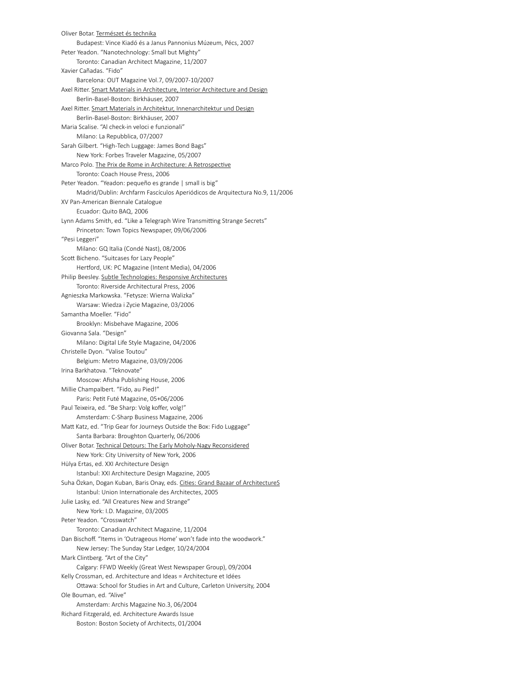Oliver Botar. Természet és technika Budapest: Vince Kiadó és a Janus Pannonius Múzeum, Pécs, 2007 Peter Yeadon. "Nanotechnology: Small but Mighty" Toronto: Canadian Architect Magazine, 11/2007 Xavier Cañadas. "Fido" Barcelona: OUT Magazine Vol.7, 09/2007-10/2007 Axel Ritter. Smart Materials in Architecture, Interior Architecture and Design Berlin-Basel-Boston: Birkhäuser, 2007 Axel Ritter. Smart Materials in Architektur, Innenarchitektur und Design Berlin-Basel-Boston: Birkhäuser, 2007 Maria Scalise. "Al check-in veloci e funzionali" Milano: La Repubblica, 07/2007 Sarah Gilbert. "High-Tech Luggage: James Bond Bags" New York: Forbes Traveler Magazine, 05/2007 Marco Polo. The Prix de Rome in Architecture: A Retrospective Toronto: Coach House Press, 2006 Peter Yeadon. "Yeadon: pequeño es grande | small is big" Madrid/Dublin: Archfarm Fascículos Aperiódicos de Arquitectura No.9, 11/2006 XV Pan-American Biennale Catalogue Ecuador: Quito BAQ, 2006 Lynn Adams Smith, ed. "Like a Telegraph Wire Transmitting Strange Secrets" Princeton: Town Topics Newspaper, 09/06/2006 "Pesi Leggeri" Milano: GQ Italia (Condé Nast), 08/2006 Scott Bicheno. "Suitcases for Lazy People" Hertford, UK: PC Magazine (Intent Media), 04/2006 Philip Beesley. Subtle Technologies: Responsive Architectures Toronto: Riverside Architectural Press, 2006 Agnieszka Markowska. "Fetysze: Wierna Walizka" Warsaw: Wiedza i Zycie Magazine, 03/2006 Samantha Moeller. "Fido" Brooklyn: Misbehave Magazine, 2006 Giovanna Sala. "Design" Milano: Digital Life Style Magazine, 04/2006 Christelle Dyon. "Valise Toutou" Belgium: Metro Magazine, 03/09/2006 Irina Barkhatova. "Teknovate" Moscow: Afisha Publishing House, 2006 Millie Champalbert. "Fido, au Pied!" Paris: Petit Futé Magazine, 05+06/2006 Paul Teixeira, ed. "Be Sharp: Volg koffer, volg!" Amsterdam: C-Sharp Business Magazine, 2006 Matt Katz, ed. "Trip Gear for Journeys Outside the Box: Fido Luggage" Santa Barbara: Broughton Quarterly, 06/2006 Oliver Botar. Technical Detours: The Early Moholy-Nagy Reconsidered New York: City University of New York, 2006 Hülya Ertas, ed. XXI Architecture Design Istanbul: XXI Architecture Design Magazine, 2005 Suha Özkan, Dogan Kuban, Baris Onay, eds. Cities: Grand Bazaar of ArchitectureS Istanbul: Union Internationale des Architectes, 2005 Julie Lasky, ed. "All Creatures New and Strange" New York: I.D. Magazine, 03/2005 Peter Yeadon. "Crosswatch" Toronto: Canadian Architect Magazine, 11/2004 Dan Bischoff. "Items in 'Outrageous Home' won't fade into the woodwork." New Jersey: The Sunday Star Ledger, 10/24/2004 Mark Clintberg. "Art of the City" Calgary: FFWD Weekly (Great West Newspaper Group), 09/2004 Kelly Crossman, ed. Architecture and Ideas = Architecture et Idées Ottawa: School for Studies in Art and Culture, Carleton University, 2004 Ole Bouman, ed. "Alive" Amsterdam: Archis Magazine No.3, 06/2004 Richard Fitzgerald, ed. Architecture Awards Issue Boston: Boston Society of Architects, 01/2004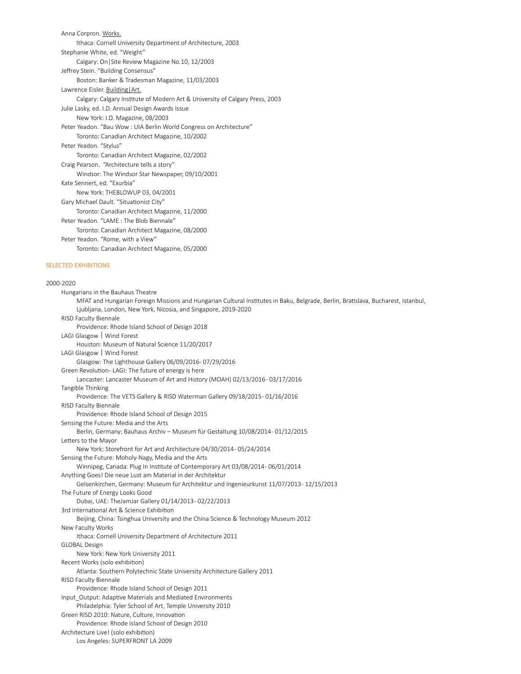Anna Corpron. Works. Ithaca: Cornell University Department of Architecture, 2003 Stephanie White, ed. "Weight" Calgary: On|Site Review Magazine No.10, 12/2003 Jeffrey Stein. "Building Consensus" Boston: Banker & Tradesman Magazine, 11/03/2003 Lawrence Eisler. Building | Art. Calgary: Calgary Institute of Modern Art & University of Calgary Press, 2003 Julie Lasky, ed. I.D. Annual Design Awards Issue New York: I.D. Magazine, 08/2003 Peter Yeadon. "Bau Wow : UIA Berlin World Congress on Architecture" Toronto: Canadian Architect Magazine, 10/2002 Peter Yeadon. "Stylus" Toronto: Canadian Architect Magazine, 02/2002 Craig Pearson.  "Architecture tells a story" Windsor: The Windsor Star Newspaper, 09/10/2001 Kate Sennert, ed. "Exurbia" New York: THEBLOWUP 03, 04/2001 Gary Michael Dault. "Situationist City" Toronto: Canadian Architect Magazine, 11/2000 Peter Yeadon. "LAME : The Blob Biennale" Toronto: Canadian Architect Magazine, 08/2000 Peter Yeadon. "Rome, with a View" Toronto: Canadian Architect Magazine, 05/2000

### SELECTED EXHIBITIONS

2000-2020 Hungarians in the Bauhaus Theatre MFAT and Hungarian Foreign Missions and Hungarian Cultural Institutes in Baku, Belgrade, Berlin, Bratislava, Bucharest, Istanbul, Ljubljana, London, New York, Nicosia, and Singapore, 2019-2020 RISD Faculty Biennale Providence: Rhode Island School of Design 2018 LAGI Glasgow | Wind Forest Houston: Museum of Natural Science 11/20/2017 LAGI Glasgow | Wind Forest Glasgow: The Lighthouse Gallery 06/09/2016- 07/29/2016 Green Revolution- LAGI: The future of energy is here Lancaster: Lancaster Museum of Art and History (MOAH) 02/13/2016- 03/17/2016 Tangible Thinking Providence: The VETS Gallery & RISD Waterman Gallery 09/18/2015- 01/16/2016 RISD Faculty Biennale Providence: Rhode Island School of Design 2015 Sensing the Future: Media and the Arts Berlin, Germany: Bauhaus Archiv – Museum für Gestaltung 10/08/2014- 01/12/2015 Letters to the Mayor New York: Storefront for Art and Architecture 04/30/2014- 05/24/2014 Sensing the Future: Moholy-Nagy, Media and the Arts Winnipeg, Canada: Plug In Institute of Contemporary Art 03/08/2014- 06/01/2014 Anything Goes! Die neue Lust am Material in der Architektur Gelsenkirchen, Germany: Museum für Architektur und Ingenieurkunst 11/07/2013- 12/15/2013 The Future of Energy Looks Good Dubai, UAE: TheJamJar Gallery 01/14/2013- 02/22/2013 3rd International Art & Science Exhibition Beijing, China: Tsinghua University and the China Science & Technology Museum 2012 New Faculty Works Ithaca: Cornell University Department of Architecture 2011 GLOBAL Design New York: New York University 2011 Recent Works (solo exhibition) Atlanta: Southern Polytechnic State University Architecture Gallery 2011 RISD Faculty Biennale Providence: Rhode Island School of Design 2011 Input\_Output: Adaptive Materials and Mediated Environments Philadelphia: Tyler School of Art, Temple University 2010 Green RISD 2010: Nature, Culture, Innovation Providence: Rhode Island School of Design 2010 Architecture Live! (solo exhibition) Los Angeles: SUPERFRONT LA 2009